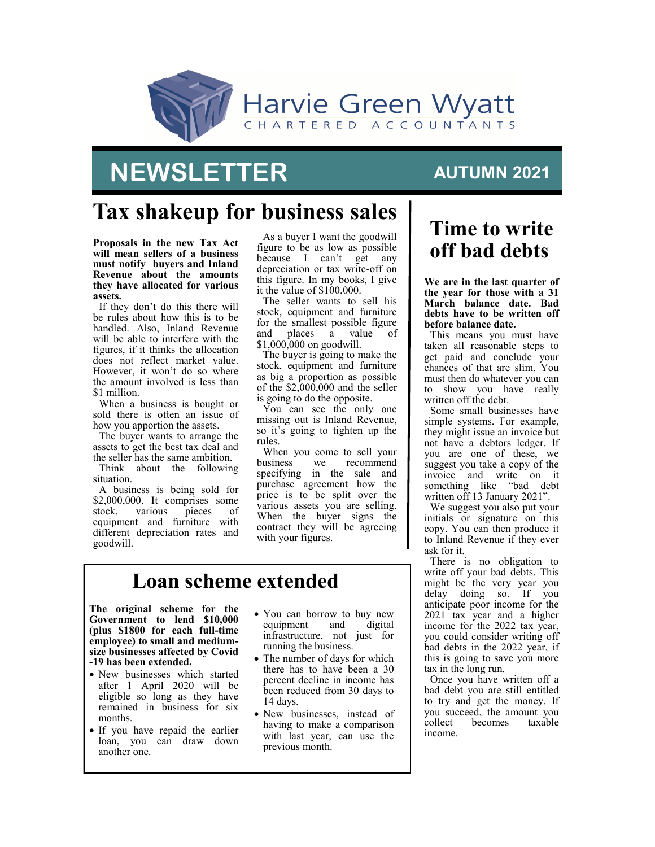

# **NEWSLETTER**

#### **AUTUMN 2021**

## **Tax shakeup for business sales**

**Proposals in the new Tax Act will mean sellers of a business must notify buyers and Inland Revenue about the amounts they have allocated for various assets.** 

If they don't do this there will be rules about how this is to be handled. Also, Inland Revenue will be able to interfere with the figures, if it thinks the allocation does not reflect market value. However, it won't do so where the amount involved is less than \$1 million.

When a business is bought or sold there is often an issue of how you apportion the assets.

The buyer wants to arrange the assets to get the best tax deal and the seller has the same ambition.

Think about the following situation.

A business is being sold for \$2,000,000. It comprises some<br>stock, various pieces of various equipment and furniture with different depreciation rates and goodwill.

As a buyer I want the goodwill figure to be as low as possible because I can't get any depreciation or tax write-off on this figure. In my books, I give it the value of \$100,000.

The seller wants to sell his stock, equipment and furniture for the smallest possible figure<br>and places a value of places a value of \$1,000,000 on goodwill.

The buyer is going to make the stock, equipment and furniture as big a proportion as possible of the \$2,000,000 and the seller is going to do the opposite.

You can see the only one missing out is Inland Revenue, so it's going to tighten up the rules.

When you come to sell your business we recommend specifying in the sale and purchase agreement how the price is to be split over the various assets you are selling. When the buyer signs the contract they will be agreeing with your figures.

#### **Loan scheme extended**

**The original scheme for the Government to lend \$10,000 (plus \$1800 for each full-time employee) to small and mediumsize businesses affected by Covid -19 has been extended.**

- New businesses which started after 1 April 2020 will be eligible so long as they have remained in business for six months.
- If you have repaid the earlier loan, you can draw down another one.
- You can borrow to buy new<br>equipment and digital equipment infrastructure, not just for running the business.
- The number of days for which there has to have been a 30 percent decline in income has been reduced from 30 days to 14 days.
- New businesses, instead of having to make a comparison with last year, can use the previous month.

### **Time to write off bad debts**

**We are in the last quarter of the year for those with a 31 March balance date. Bad debts have to be written off before balance date.** 

This means you must have taken all reasonable steps to get paid and conclude your chances of that are slim. You must then do whatever you can to show you have really written off the debt.

Some small businesses have simple systems. For example, they might issue an invoice but not have a debtors ledger. If you are one of these, we suggest you take a copy of the invoice and write on it something like "bad debt written off 13 January 2021".

We suggest you also put your initials or signature on this copy. You can then produce it to Inland Revenue if they ever ask for it.

There is no obligation to write off your bad debts. This might be the very year you delay doing so. If you anticipate poor income for the 2021 tax year and a higher income for the 2022 tax year, you could consider writing off bad debts in the 2022 year, if this is going to save you more tax in the long run.

Once you have written off a bad debt you are still entitled to try and get the money. If you succeed, the amount you<br>collect becomes taxable becomes t income.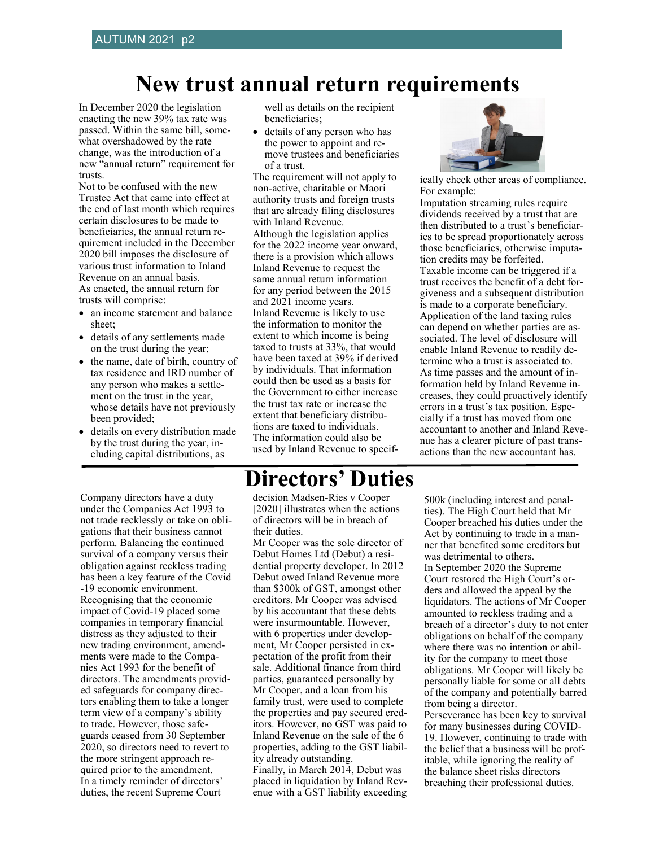### **New trust annual return requirements**

In December 2020 the legislation enacting the new 39% tax rate was passed. Within the same bill, somewhat overshadowed by the rate change, was the introduction of a new "annual return" requirement for trusts.

Not to be confused with the new Trustee Act that came into effect at the end of last month which requires certain disclosures to be made to beneficiaries, the annual return requirement included in the December 2020 bill imposes the disclosure of various trust information to Inland Revenue on an annual basis. As enacted, the annual return for trusts will comprise:

- an income statement and balance sheet;
- details of any settlements made on the trust during the year;
- the name, date of birth, country of tax residence and IRD number of any person who makes a settlement on the trust in the year, whose details have not previously been provided;
- details on every distribution made by the trust during the year, including capital distributions, as

Company directors have a duty under the Companies Act 1993 to not trade recklessly or take on obligations that their business cannot perform. Balancing the continued survival of a company versus their obligation against reckless trading has been a key feature of the Covid -19 economic environment. Recognising that the economic impact of Covid-19 placed some companies in temporary financial distress as they adjusted to their new trading environment, amendments were made to the Companies Act 1993 for the benefit of directors. The amendments provided safeguards for company directors enabling them to take a longer term view of a company's ability to trade. However, those safeguards ceased from 30 September 2020, so directors need to revert to the more stringent approach required prior to the amendment. In a timely reminder of directors' duties, the recent Supreme Court

well as details on the recipient beneficiaries;

• details of any person who has the power to appoint and remove trustees and beneficiaries of a trust.

The requirement will not apply to non-active, charitable or Maori authority trusts and foreign trusts that are already filing disclosures with Inland Revenue. Although the legislation applies for the 2022 income year onward, there is a provision which allows Inland Revenue to request the same annual return information for any period between the 2015 and 2021 income years. Inland Revenue is likely to use the information to monitor the extent to which income is being taxed to trusts at 33%, that would have been taxed at 39% if derived by individuals. That information could then be used as a basis for the Government to either increase the trust tax rate or increase the extent that beneficiary distributions are taxed to individuals. The information could also be used by Inland Revenue to specif-



ically check other areas of compliance. For example:

Imputation streaming rules require dividends received by a trust that are then distributed to a trust's beneficiaries to be spread proportionately across those beneficiaries, otherwise imputation credits may be forfeited. Taxable income can be triggered if a trust receives the benefit of a debt forgiveness and a subsequent distribution is made to a corporate beneficiary. Application of the land taxing rules can depend on whether parties are associated. The level of disclosure will enable Inland Revenue to readily determine who a trust is associated to. As time passes and the amount of information held by Inland Revenue increases, they could proactively identify errors in a trust's tax position. Especially if a trust has moved from one accountant to another and Inland Revenue has a clearer picture of past transactions than the new accountant has.

#### **Directors' Duties**

decision Madsen-Ries v Cooper [2020] illustrates when the actions of directors will be in breach of their duties.

Mr Cooper was the sole director of Debut Homes Ltd (Debut) a residential property developer. In 2012 Debut owed Inland Revenue more than \$300k of GST, amongst other creditors. Mr Cooper was advised by his accountant that these debts were insurmountable. However, with 6 properties under development, Mr Cooper persisted in expectation of the profit from their sale. Additional finance from third parties, guaranteed personally by Mr Cooper, and a loan from his family trust, were used to complete the properties and pay secured creditors. However, no GST was paid to Inland Revenue on the sale of the 6 properties, adding to the GST liability already outstanding. Finally, in March 2014, Debut was placed in liquidation by Inland Revenue with a GST liability exceeding 500k (including interest and penalties). The High Court held that Mr Cooper breached his duties under the Act by continuing to trade in a manner that benefited some creditors but was detrimental to others. In September 2020 the Supreme Court restored the High Court's orders and allowed the appeal by the liquidators. The actions of Mr Cooper amounted to reckless trading and a breach of a director's duty to not enter obligations on behalf of the company where there was no intention or ability for the company to meet those obligations. Mr Cooper will likely be personally liable for some or all debts of the company and potentially barred from being a director. Perseverance has been key to survival for many businesses during COVID-19. However, continuing to trade with the belief that a business will be profitable, while ignoring the reality of the balance sheet risks directors breaching their professional duties.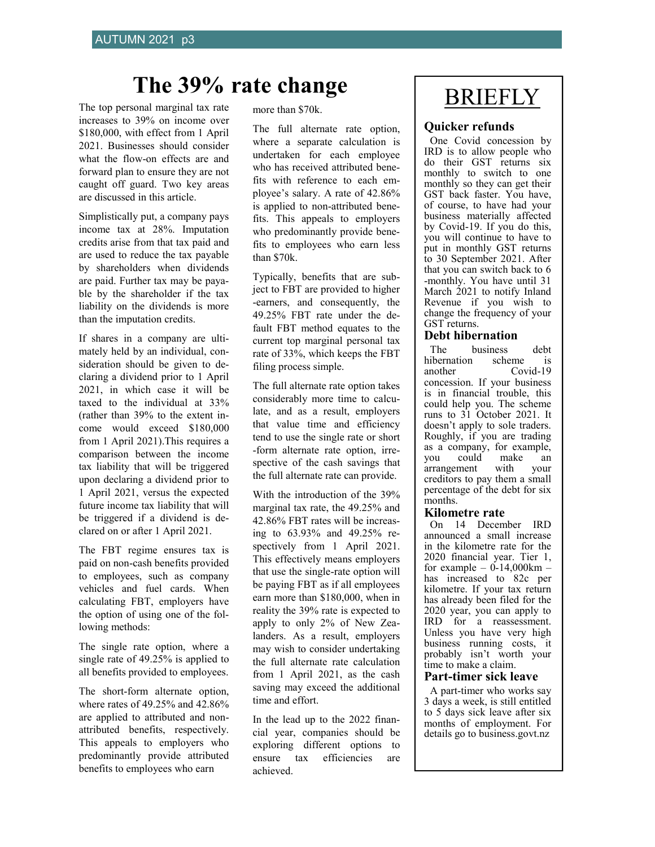# The 39% rate change BRIEFLY

The top personal marginal tax rate increases to 39% on income over \$180,000, with effect from 1 April 2021. Businesses should consider what the flow-on effects are and forward plan to ensure they are not caught off guard. Two key areas are discussed in this article.

Simplistically put, a company pays income tax at 28%. Imputation credits arise from that tax paid and are used to reduce the tax payable by shareholders when dividends are paid. Further tax may be payable by the shareholder if the tax liability on the dividends is more than the imputation credits.

If shares in a company are ultimately held by an individual, consideration should be given to declaring a dividend prior to 1 April 2021, in which case it will be taxed to the individual at 33% (rather than 39% to the extent income would exceed \$180,000 from 1 April 2021).This requires a comparison between the income tax liability that will be triggered upon declaring a dividend prior to 1 April 2021, versus the expected future income tax liability that will be triggered if a dividend is declared on or after 1 April 2021.

The FBT regime ensures tax is paid on non-cash benefits provided to employees, such as company vehicles and fuel cards. When calculating FBT, employers have the option of using one of the following methods:

The single rate option, where a single rate of 49.25% is applied to all benefits provided to employees.

The short-form alternate option, where rates of 49.25% and 42.86% are applied to attributed and nonattributed benefits, respectively. This appeals to employers who predominantly provide attributed benefits to employees who earn

more than \$70k.

The full alternate rate option, where a separate calculation is undertaken for each employee who has received attributed benefits with reference to each employee's salary. A rate of 42.86% is applied to non-attributed benefits. This appeals to employers who predominantly provide benefits to employees who earn less than \$70k.

Typically, benefits that are subject to FBT are provided to higher -earners, and consequently, the 49.25% FBT rate under the default FBT method equates to the current top marginal personal tax rate of 33%, which keeps the FBT filing process simple.

The full alternate rate option takes considerably more time to calculate, and as a result, employers that value time and efficiency tend to use the single rate or short -form alternate rate option, irrespective of the cash savings that the full alternate rate can provide.

With the introduction of the 39% marginal tax rate, the 49.25% and 42.86% FBT rates will be increasing to 63.93% and 49.25% respectively from 1 April 2021. This effectively means employers that use the single-rate option will be paying FBT as if all employees earn more than \$180,000, when in reality the 39% rate is expected to apply to only 2% of New Zealanders. As a result, employers may wish to consider undertaking the full alternate rate calculation from 1 April 2021, as the cash saving may exceed the additional time and effort.

In the lead up to the 2022 financial year, companies should be exploring different options to ensure tax efficiencies are achieved.

#### **Quicker refunds**

One Covid concession by IRD is to allow people who do their GST returns six monthly to switch to one monthly so they can get their GST back faster. You have, of course, to have had your business materially affected by Covid-19. If you do this, you will continue to have to put in monthly GST returns to 30 September 2021. After that you can switch back to 6 -monthly. You have until 31 March 2021 to notify Inland Revenue if you wish to change the frequency of your GST returns.

#### **Debt hibernation**

The business debt hibernation scheme is another Covid-19 concession. If your business is in financial trouble, this could help you. The scheme runs to 31 October 2021. It doesn't apply to sole traders. Roughly, if you are trading as a company, for example, you could make an arrangement with your arrangement with creditors to pay them a small percentage of the debt for six months.

#### **Kilometre rate**

On 14 December IRD announced a small increase in the kilometre rate for the 2020 financial year. Tier 1, for example –  $0-14,000 \text{km}$  – has increased to 82c per kilometre. If your tax return has already been filed for the 2020 year, you can apply to IRD for a reassessment. Unless you have very high business running costs, it probably isn't worth your time to make a claim.

#### **Part-timer sick leave**

A part-timer who works say 3 days a week, is still entitled to 5 days sick leave after six months of employment. For details go to business.govt.nz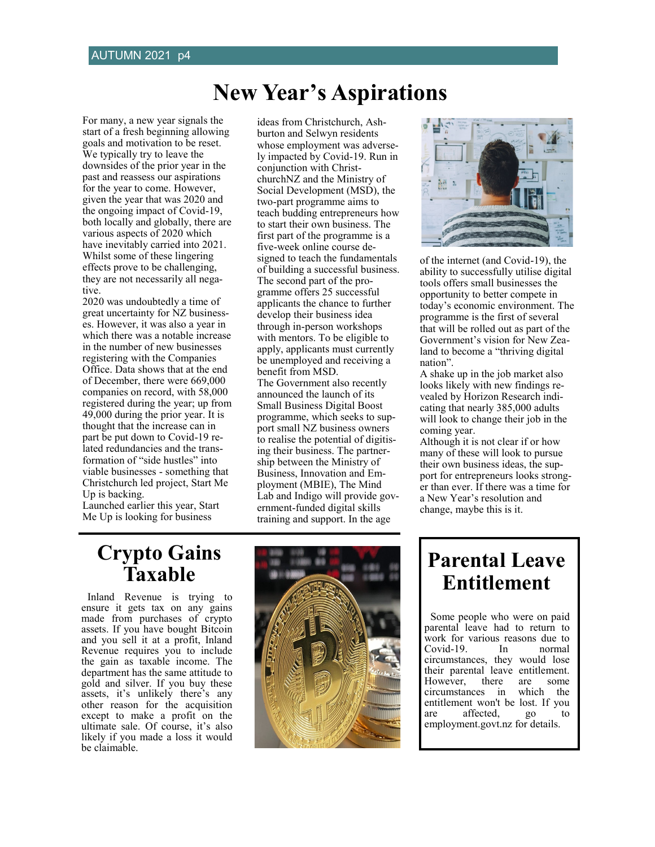### **New Year's Aspirations**

ideas from Christchurch, Ash-

For many, a new year signals the start of a fresh beginning allowing goals and motivation to be reset. We typically try to leave the downsides of the prior year in the past and reassess our aspirations for the year to come. However, given the year that was 2020 and the ongoing impact of Covid-19, both locally and globally, there are various aspects of 2020 which have inevitably carried into 2021. Whilst some of these lingering effects prove to be challenging, they are not necessarily all negative.

2020 was undoubtedly a time of great uncertainty for NZ businesses. However, it was also a year in which there was a notable increase in the number of new businesses registering with the Companies Office. Data shows that at the end of December, there were 669,000 companies on record, with 58,000 registered during the year; up from 49,000 during the prior year. It is thought that the increase can in part be put down to Covid-19 related redundancies and the transformation of "side hustles" into viable businesses - something that Christchurch led project, Start Me Up is backing.

Launched earlier this year, Start Me Up is looking for business

burton and Selwyn residents whose employment was adversely impacted by Covid-19. Run in conjunction with ChristchurchNZ and the Ministry of Social Development (MSD), the two-part programme aims to teach budding entrepreneurs how to start their own business. The first part of the programme is a five-week online course designed to teach the fundamentals of building a successful business. The second part of the programme offers 25 successful applicants the chance to further develop their business idea through in-person workshops with mentors. To be eligible to apply, applicants must currently be unemployed and receiving a benefit from MSD. The Government also recently announced the launch of its Small Business Digital Boost programme, which seeks to support small NZ business owners to realise the potential of digitising their business. The partnership between the Ministry of Business, Innovation and Employment (MBIE), The Mind Lab and Indigo will provide government-funded digital skills training and support. In the age



of the internet (and Covid-19), the ability to successfully utilise digital tools offers small businesses the opportunity to better compete in today's economic environment. The programme is the first of several that will be rolled out as part of the Government's vision for New Zealand to become a "thriving digital nation".

A shake up in the job market also looks likely with new findings revealed by Horizon Research indicating that nearly 385,000 adults will look to change their job in the coming year.

Although it is not clear if or how many of these will look to pursue their own business ideas, the support for entrepreneurs looks stronger than ever. If there was a time for a New Year's resolution and change, maybe this is it.

#### **Crypto Gains Taxable**

Inland Revenue is trying to ensure it gets tax on any gains made from purchases of crypto assets. If you have bought Bitcoin and you sell it at a profit, Inland Revenue requires you to include the gain as taxable income. The department has the same attitude to gold and silver. If you buy these assets, it's unlikely there's any other reason for the acquisition except to make a profit on the ultimate sale. Of course, it's also likely if you made a loss it would be claimable.



#### **Parental Leave Entitlement**

Some people who were on paid parental leave had to return to work for various reasons due to Covid-19. In normal circumstances, they would lose their parental leave entitlement. However, there are some<br>circumstances in which the circumstances in entitlement won't be lost. If you are affected, go employment.govt.nz for details.